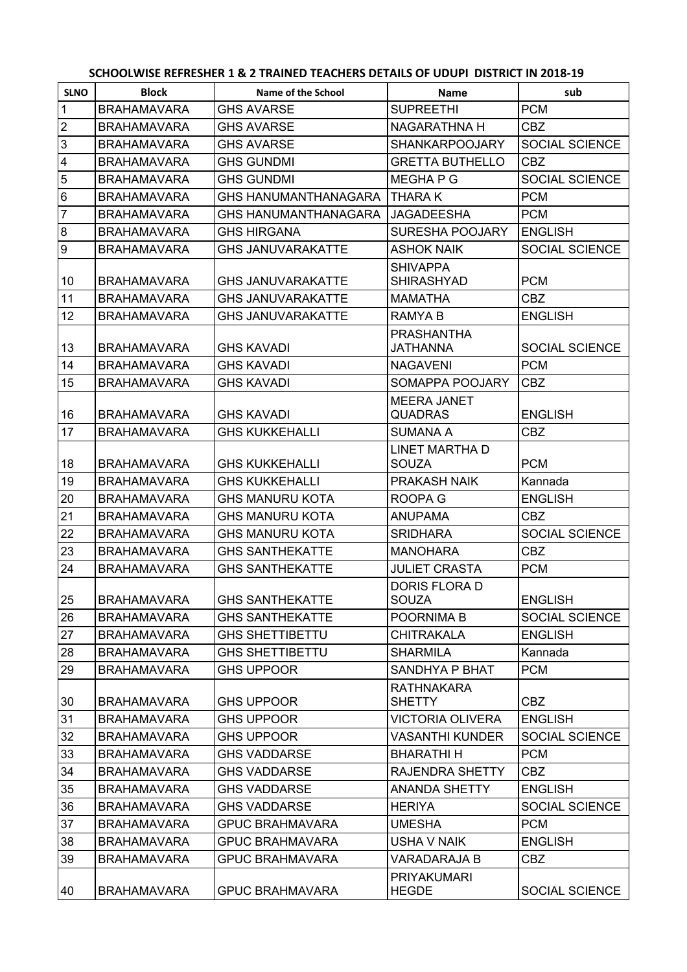## **SCHOOLWISE REFRESHER 1 & 2 TRAINED TEACHERS DETAILS OF UDUPI DISTRICT IN 2018-19**

| <b>SLNO</b>             | <b>Block</b>       | Name of the School          | <b>Name</b>                          | sub                   |
|-------------------------|--------------------|-----------------------------|--------------------------------------|-----------------------|
| $\mathbf{1}$            | <b>BRAHAMAVARA</b> | <b>GHS AVARSE</b>           | <b>SUPREETHI</b>                     | <b>PCM</b>            |
| $\mathbf 2$             | <b>BRAHAMAVARA</b> | <b>GHS AVARSE</b>           | NAGARATHNA H                         | <b>CBZ</b>            |
| $\mathbf{3}$            | <b>BRAHAMAVARA</b> | <b>GHS AVARSE</b>           | <b>SHANKARPOOJARY</b>                | <b>SOCIAL SCIENCE</b> |
| $\overline{\mathbf{4}}$ | <b>BRAHAMAVARA</b> | <b>GHS GUNDMI</b>           | <b>GRETTA BUTHELLO</b>               | <b>CBZ</b>            |
| 5                       | <b>BRAHAMAVARA</b> | <b>GHS GUNDMI</b>           | MEGHA P G                            | <b>SOCIAL SCIENCE</b> |
| $\,6$                   | <b>BRAHAMAVARA</b> | <b>GHS HANUMANTHANAGARA</b> | <b>THARAK</b>                        | <b>PCM</b>            |
| $\overline{7}$          | <b>BRAHAMAVARA</b> | <b>GHS HANUMANTHANAGARA</b> | <b>JAGADEESHA</b>                    | <b>PCM</b>            |
| $\overline{8}$          | <b>BRAHAMAVARA</b> | <b>GHS HIRGANA</b>          | SURESHA POOJARY                      | <b>ENGLISH</b>        |
| $\boldsymbol{9}$        | <b>BRAHAMAVARA</b> | <b>GHS JANUVARAKATTE</b>    | <b>ASHOK NAIK</b>                    | <b>SOCIAL SCIENCE</b> |
| 10                      | <b>BRAHAMAVARA</b> | <b>GHS JANUVARAKATTE</b>    | <b>SHIVAPPA</b><br><b>SHIRASHYAD</b> | <b>PCM</b>            |
| 11                      | <b>BRAHAMAVARA</b> | <b>GHS JANUVARAKATTE</b>    | MAMATHA                              | <b>CBZ</b>            |
| 12                      | <b>BRAHAMAVARA</b> | <b>GHS JANUVARAKATTE</b>    | <b>RAMYAB</b>                        | <b>ENGLISH</b>        |
| 13                      | <b>BRAHAMAVARA</b> | <b>GHS KAVADI</b>           | <b>PRASHANTHA</b><br>JATHANNA        | SOCIAL SCIENCE        |
| 14                      | <b>BRAHAMAVARA</b> | <b>GHS KAVADI</b>           | <b>NAGAVENI</b>                      | <b>PCM</b>            |
| 15                      | <b>BRAHAMAVARA</b> | <b>GHS KAVADI</b>           | SOMAPPA POOJARY                      | <b>CBZ</b>            |
| 16                      | <b>BRAHAMAVARA</b> | <b>GHS KAVADI</b>           | <b>MEERA JANET</b><br><b>QUADRAS</b> | <b>ENGLISH</b>        |
| 17                      | <b>BRAHAMAVARA</b> | <b>GHS KUKKEHALLI</b>       | <b>SUMANA A</b>                      | <b>CBZ</b>            |
| 18                      | <b>BRAHAMAVARA</b> | <b>GHS KUKKEHALLI</b>       | <b>LINET MARTHA D</b><br>SOUZA       | <b>PCM</b>            |
| 19                      | <b>BRAHAMAVARA</b> | <b>GHS KUKKEHALLI</b>       | PRAKASH NAIK                         | Kannada               |
| 20                      | <b>BRAHAMAVARA</b> | <b>GHS MANURU KOTA</b>      | <b>ROOPA G</b>                       | <b>ENGLISH</b>        |
| 21                      | <b>BRAHAMAVARA</b> | <b>GHS MANURU KOTA</b>      | <b>ANUPAMA</b>                       | <b>CBZ</b>            |
| 22                      | <b>BRAHAMAVARA</b> | <b>GHS MANURU KOTA</b>      | <b>SRIDHARA</b>                      | SOCIAL SCIENCE        |
| 23                      | <b>BRAHAMAVARA</b> | <b>GHS SANTHEKATTE</b>      | <b>MANOHARA</b>                      | <b>CBZ</b>            |
| 24                      | <b>BRAHAMAVARA</b> | <b>GHS SANTHEKATTE</b>      | <b>JULIET CRASTA</b>                 | <b>PCM</b>            |
|                         |                    |                             | <b>DORIS FLORA D</b>                 |                       |
| 25                      | <b>BRAHAMAVARA</b> | <b>GHS SANTHEKATTE</b>      | SOUZA                                | <b>ENGLISH</b>        |
| 26                      | <b>BRAHAMAVARA</b> | <b>GHS SANTHEKATTE</b>      | POORNIMA B                           | <b>SOCIAL SCIENCE</b> |
| 27                      | <b>BRAHAMAVARA</b> | <b>GHS SHETTIBETTU</b>      | <b>CHITRAKALA</b>                    | <b>ENGLISH</b>        |
| 28                      | <b>BRAHAMAVARA</b> | <b>GHS SHETTIBETTU</b>      | <b>SHARMILA</b>                      | Kannada               |
| 29                      | <b>BRAHAMAVARA</b> | <b>GHS UPPOOR</b>           | SANDHYA P BHAT                       | <b>PCM</b>            |
|                         |                    |                             | RATHNAKARA                           |                       |
| 30                      | <b>BRAHAMAVARA</b> | <b>GHS UPPOOR</b>           | <b>SHETTY</b>                        | <b>CBZ</b>            |
| 31                      | <b>BRAHAMAVARA</b> | <b>GHS UPPOOR</b>           | <b>VICTORIA OLIVERA</b>              | <b>ENGLISH</b>        |
| 32                      | <b>BRAHAMAVARA</b> | <b>GHS UPPOOR</b>           | <b>VASANTHI KUNDER</b>               | SOCIAL SCIENCE        |
| 33                      | <b>BRAHAMAVARA</b> | <b>GHS VADDARSE</b>         | <b>BHARATHI H</b>                    | <b>PCM</b>            |
| 34                      | <b>BRAHAMAVARA</b> | <b>GHS VADDARSE</b>         | RAJENDRA SHETTY                      | <b>CBZ</b>            |
| 35                      | <b>BRAHAMAVARA</b> | <b>GHS VADDARSE</b>         | <b>ANANDA SHETTY</b>                 | <b>ENGLISH</b>        |
| 36                      | <b>BRAHAMAVARA</b> | <b>GHS VADDARSE</b>         | <b>HERIYA</b>                        | <b>SOCIAL SCIENCE</b> |
| 37                      | <b>BRAHAMAVARA</b> | <b>GPUC BRAHMAVARA</b>      | <b>UMESHA</b>                        | <b>PCM</b>            |
| 38                      | <b>BRAHAMAVARA</b> | <b>GPUC BRAHMAVARA</b>      | <b>USHA V NAIK</b>                   | <b>ENGLISH</b>        |
| 39                      | <b>BRAHAMAVARA</b> | <b>GPUC BRAHMAVARA</b>      | VARADARAJA B                         | <b>CBZ</b>            |
| 40                      | <b>BRAHAMAVARA</b> | <b>GPUC BRAHMAVARA</b>      | <b>PRIYAKUMARI</b><br><b>HEGDE</b>   | SOCIAL SCIENCE        |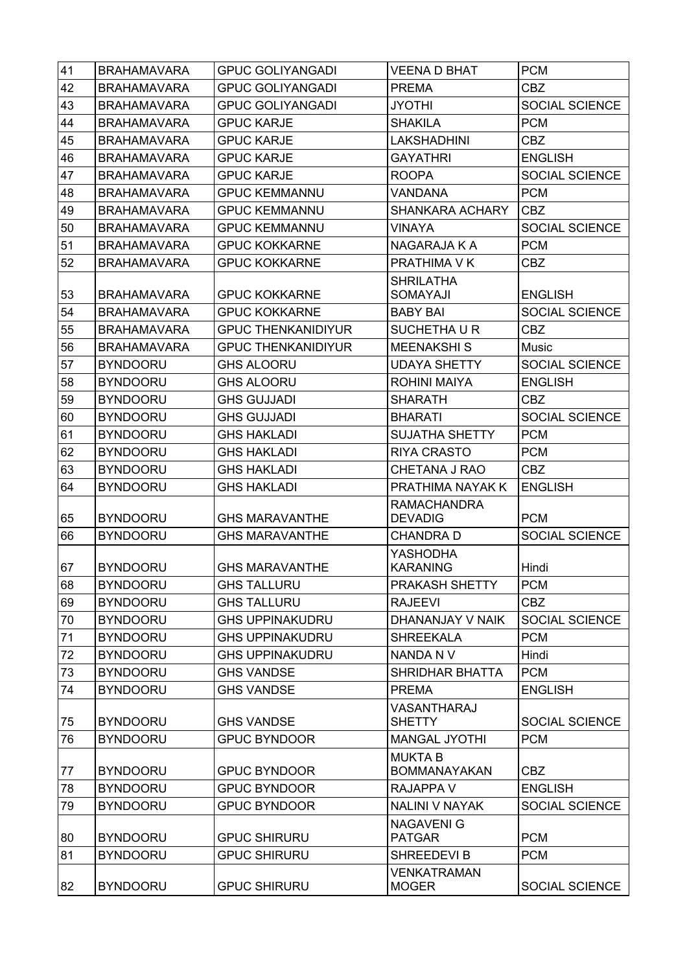| 41 | <b>BRAHAMAVARA</b> | <b>GPUC GOLIYANGADI</b>   | <b>VEENA D BHAT</b>                   | <b>PCM</b>            |
|----|--------------------|---------------------------|---------------------------------------|-----------------------|
| 42 | <b>BRAHAMAVARA</b> | <b>GPUC GOLIYANGADI</b>   | <b>PREMA</b>                          | <b>CBZ</b>            |
| 43 | <b>BRAHAMAVARA</b> | <b>GPUC GOLIYANGADI</b>   | <b>JYOTHI</b>                         | <b>SOCIAL SCIENCE</b> |
| 44 | <b>BRAHAMAVARA</b> | <b>GPUC KARJE</b>         | <b>SHAKILA</b>                        | <b>PCM</b>            |
| 45 | <b>BRAHAMAVARA</b> | <b>GPUC KARJE</b>         | <b>LAKSHADHINI</b>                    | <b>CBZ</b>            |
| 46 | <b>BRAHAMAVARA</b> | <b>GPUC KARJE</b>         | <b>GAYATHRI</b>                       | <b>ENGLISH</b>        |
| 47 | <b>BRAHAMAVARA</b> | <b>GPUC KARJE</b>         | <b>ROOPA</b>                          | SOCIAL SCIENCE        |
| 48 | <b>BRAHAMAVARA</b> | <b>GPUC KEMMANNU</b>      | <b>VANDANA</b>                        | <b>PCM</b>            |
| 49 | <b>BRAHAMAVARA</b> | <b>GPUC KEMMANNU</b>      | <b>SHANKARA ACHARY</b>                | CBZ                   |
| 50 | <b>BRAHAMAVARA</b> | <b>GPUC KEMMANNU</b>      | <b>VINAYA</b>                         | SOCIAL SCIENCE        |
| 51 | <b>BRAHAMAVARA</b> | <b>GPUC KOKKARNE</b>      | NAGARAJA K A                          | <b>PCM</b>            |
| 52 | <b>BRAHAMAVARA</b> | <b>GPUC KOKKARNE</b>      | PRATHIMA V K                          | <b>CBZ</b>            |
|    |                    |                           | <b>SHRILATHA</b>                      |                       |
| 53 | <b>BRAHAMAVARA</b> | <b>GPUC KOKKARNE</b>      | SOMAYAJI                              | <b>ENGLISH</b>        |
| 54 | <b>BRAHAMAVARA</b> | <b>GPUC KOKKARNE</b>      | <b>BABY BAI</b>                       | <b>SOCIAL SCIENCE</b> |
| 55 | <b>BRAHAMAVARA</b> | <b>GPUC THENKANIDIYUR</b> | SUCHETHAUR                            | <b>CBZ</b>            |
| 56 | <b>BRAHAMAVARA</b> | <b>GPUC THENKANIDIYUR</b> | <b>MEENAKSHIS</b>                     | Music                 |
| 57 | <b>BYNDOORU</b>    | <b>GHS ALOORU</b>         | <b>UDAYA SHETTY</b>                   | SOCIAL SCIENCE        |
| 58 | <b>BYNDOORU</b>    | <b>GHS ALOORU</b>         | <b>ROHINI MAIYA</b>                   | <b>ENGLISH</b>        |
| 59 | <b>BYNDOORU</b>    | <b>GHS GUJJADI</b>        | <b>SHARATH</b>                        | <b>CBZ</b>            |
| 60 | <b>BYNDOORU</b>    | <b>GHS GUJJADI</b>        | <b>BHARATI</b>                        | SOCIAL SCIENCE        |
| 61 | <b>BYNDOORU</b>    | <b>GHS HAKLADI</b>        | <b>SUJATHA SHETTY</b>                 | <b>PCM</b>            |
| 62 | <b>BYNDOORU</b>    | <b>GHS HAKLADI</b>        | <b>RIYA CRASTO</b>                    | <b>PCM</b>            |
| 63 | <b>BYNDOORU</b>    | <b>GHS HAKLADI</b>        | <b>CHETANA J RAO</b>                  | <b>CBZ</b>            |
|    |                    |                           |                                       |                       |
| 64 | <b>BYNDOORU</b>    | <b>GHS HAKLADI</b>        | PRATHIMA NAYAK K                      | <b>ENGLISH</b>        |
|    |                    |                           | <b>RAMACHANDRA</b>                    |                       |
| 65 | <b>BYNDOORU</b>    | <b>GHS MARAVANTHE</b>     | <b>DEVADIG</b>                        | <b>PCM</b>            |
| 66 | <b>BYNDOORU</b>    | <b>GHS MARAVANTHE</b>     | <b>CHANDRA D</b>                      | SOCIAL SCIENCE        |
| 67 | <b>BYNDOORU</b>    | <b>GHS MARAVANTHE</b>     | YASHODHA<br><b>KARANING</b>           | Hindi                 |
| 68 | <b>BYNDOORU</b>    | <b>GHS TALLURU</b>        | PRAKASH SHETTY                        | <b>PCM</b>            |
| 69 | <b>BYNDOORU</b>    | <b>GHS TALLURU</b>        | <b>RAJEEVI</b>                        | <b>CBZ</b>            |
| 70 | <b>BYNDOORU</b>    | <b>GHS UPPINAKUDRU</b>    | DHANANJAY V NAIK                      | SOCIAL SCIENCE        |
| 71 | <b>BYNDOORU</b>    | <b>GHS UPPINAKUDRU</b>    | <b>SHREEKALA</b>                      | <b>PCM</b>            |
| 72 | <b>BYNDOORU</b>    | <b>GHS UPPINAKUDRU</b>    | NANDA N V                             | Hindi                 |
| 73 | <b>BYNDOORU</b>    | GHS VANDSE                | SHRIDHAR BHATTA                       | <b>PCM</b>            |
| 74 | <b>BYNDOORU</b>    | <b>GHS VANDSE</b>         | <b>PREMA</b>                          | <b>ENGLISH</b>        |
|    |                    |                           | VASANTHARAJ                           |                       |
| 75 | <b>BYNDOORU</b>    | <b>GHS VANDSE</b>         | <b>SHETTY</b>                         | SOCIAL SCIENCE        |
| 76 | <b>BYNDOORU</b>    | <b>GPUC BYNDOOR</b>       | <b>MANGAL JYOTHI</b>                  | <b>PCM</b>            |
| 77 | <b>BYNDOORU</b>    | <b>GPUC BYNDOOR</b>       | <b>MUKTA B</b><br><b>BOMMANAYAKAN</b> | <b>CBZ</b>            |
| 78 | <b>BYNDOORU</b>    | <b>GPUC BYNDOOR</b>       | <b>RAJAPPA V</b>                      | <b>ENGLISH</b>        |
| 79 | <b>BYNDOORU</b>    | <b>GPUC BYNDOOR</b>       | NALINI V NAYAK                        | SOCIAL SCIENCE        |
|    |                    |                           | <b>NAGAVENI G</b>                     |                       |
| 80 | <b>BYNDOORU</b>    | <b>GPUC SHIRURU</b>       | <b>PATGAR</b>                         | <b>PCM</b>            |
| 81 | <b>BYNDOORU</b>    | <b>GPUC SHIRURU</b>       | SHREEDEVI B                           | <b>PCM</b>            |
| 82 | <b>BYNDOORU</b>    | <b>GPUC SHIRURU</b>       | <b>VENKATRAMAN</b><br><b>MOGER</b>    | SOCIAL SCIENCE        |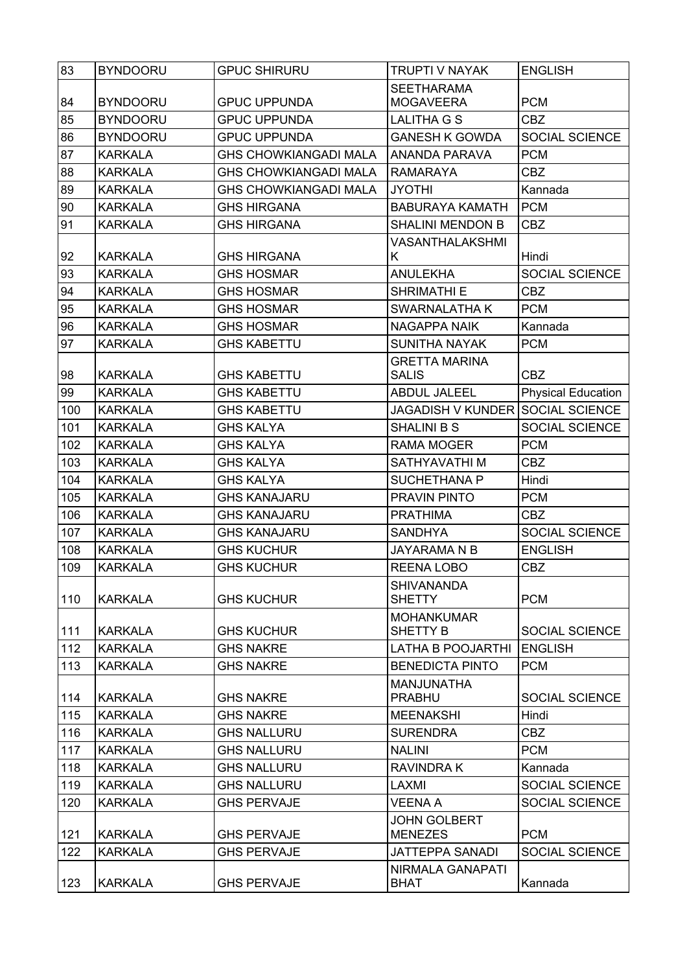| 83  | <b>BYNDOORU</b> | <b>GPUC SHIRURU</b>          | <b>TRUPTI V NAYAK</b>                | <b>ENGLISH</b>            |
|-----|-----------------|------------------------------|--------------------------------------|---------------------------|
|     |                 |                              | <b>SEETHARAMA</b>                    |                           |
| 84  | <b>BYNDOORU</b> | <b>GPUC UPPUNDA</b>          | <b>MOGAVEERA</b>                     | <b>PCM</b>                |
| 85  | <b>BYNDOORU</b> | <b>GPUC UPPUNDA</b>          | LALITHA G S                          | <b>CBZ</b>                |
| 86  | <b>BYNDOORU</b> | <b>GPUC UPPUNDA</b>          | <b>GANESH K GOWDA</b>                | SOCIAL SCIENCE            |
| 87  | <b>KARKALA</b>  | <b>GHS CHOWKIANGADI MALA</b> | ANANDA PARAVA                        | <b>PCM</b>                |
| 88  | <b>KARKALA</b>  | <b>GHS CHOWKIANGADI MALA</b> | <b>RAMARAYA</b>                      | <b>CBZ</b>                |
| 89  | <b>KARKALA</b>  | <b>GHS CHOWKIANGADI MALA</b> | <b>JYOTHI</b>                        | Kannada                   |
| 90  | <b>KARKALA</b>  | <b>GHS HIRGANA</b>           | <b>BABURAYA KAMATH</b>               | <b>PCM</b>                |
| 91  | <b>KARKALA</b>  | <b>GHS HIRGANA</b>           | <b>SHALINI MENDON B</b>              | <b>CBZ</b>                |
|     |                 |                              | VASANTHALAKSHMI                      |                           |
| 92  | <b>KARKALA</b>  | <b>GHS HIRGANA</b>           | Κ                                    | Hindi                     |
| 93  | <b>KARKALA</b>  | <b>GHS HOSMAR</b>            | <b>ANULEKHA</b>                      | SOCIAL SCIENCE            |
| 94  | <b>KARKALA</b>  | <b>GHS HOSMAR</b>            | <b>SHRIMATHI E</b>                   | <b>CBZ</b>                |
| 95  | <b>KARKALA</b>  | <b>GHS HOSMAR</b>            | SWARNALATHA K                        | <b>PCM</b>                |
| 96  | <b>KARKALA</b>  | <b>GHS HOSMAR</b>            | <b>NAGAPPA NAIK</b>                  | Kannada                   |
| 97  | <b>KARKALA</b>  | <b>GHS KABETTU</b>           | <b>SUNITHA NAYAK</b>                 | <b>PCM</b>                |
| 98  | <b>KARKALA</b>  | <b>GHS KABETTU</b>           | <b>GRETTA MARINA</b><br><b>SALIS</b> | <b>CBZ</b>                |
| 99  | <b>KARKALA</b>  | <b>GHS KABETTU</b>           | <b>ABDUL JALEEL</b>                  | <b>Physical Education</b> |
| 100 | <b>KARKALA</b>  | <b>GHS KABETTU</b>           | JAGADISH V KUNDER                    | <b>SOCIAL SCIENCE</b>     |
| 101 | <b>KARKALA</b>  | <b>GHS KALYA</b>             | <b>SHALINI B S</b>                   | SOCIAL SCIENCE            |
| 102 | <b>KARKALA</b>  | <b>GHS KALYA</b>             | <b>RAMA MOGER</b>                    | <b>PCM</b>                |
| 103 | <b>KARKALA</b>  | <b>GHS KALYA</b>             | SATHYAVATHI M                        | <b>CBZ</b>                |
| 104 | <b>KARKALA</b>  | <b>GHS KALYA</b>             | <b>SUCHETHANA P</b>                  | Hindi                     |
| 105 | <b>KARKALA</b>  | <b>GHS KANAJARU</b>          | PRAVIN PINTO                         | <b>PCM</b>                |
| 106 | <b>KARKALA</b>  | <b>GHS KANAJARU</b>          | <b>PRATHIMA</b>                      | <b>CBZ</b>                |
| 107 | <b>KARKALA</b>  | <b>GHS KANAJARU</b>          | <b>SANDHYA</b>                       | SOCIAL SCIENCE            |
| 108 | <b>KARKALA</b>  | <b>GHS KUCHUR</b>            | <b>JAYARAMA N B</b>                  | <b>ENGLISH</b>            |
| 109 | <b>KARKALA</b>  | <b>GHS KUCHUR</b>            | REENA LOBO                           | <b>CBZ</b>                |
|     |                 |                              | <b>SHIVANANDA</b>                    |                           |
| 110 | <b>KARKALA</b>  | <b>GHS KUCHUR</b>            | <b>SHETTY</b>                        | <b>PCM</b>                |
|     |                 |                              | <b>MOHANKUMAR</b>                    |                           |
| 111 | <b>KARKALA</b>  | <b>GHS KUCHUR</b>            | SHETTY B                             | <b>SOCIAL SCIENCE</b>     |
| 112 | <b>KARKALA</b>  | <b>GHS NAKRE</b>             | <b>LATHA B POOJARTHI</b>             | <b>ENGLISH</b>            |
| 113 | <b>KARKALA</b>  | <b>GHS NAKRE</b>             | <b>BENEDICTA PINTO</b>               | <b>PCM</b>                |
|     |                 |                              | <b>MANJUNATHA</b>                    |                           |
| 114 | <b>KARKALA</b>  | <b>GHS NAKRE</b>             | <b>PRABHU</b>                        | <b>SOCIAL SCIENCE</b>     |
| 115 | <b>KARKALA</b>  | <b>GHS NAKRE</b>             | <b>MEENAKSHI</b>                     | Hindi                     |
| 116 | <b>KARKALA</b>  | <b>GHS NALLURU</b>           | <b>SURENDRA</b>                      | <b>CBZ</b>                |
| 117 | <b>KARKALA</b>  | <b>GHS NALLURU</b>           | <b>NALINI</b>                        | <b>PCM</b>                |
| 118 | <b>KARKALA</b>  | <b>GHS NALLURU</b>           | <b>RAVINDRAK</b>                     | Kannada                   |
| 119 | <b>KARKALA</b>  | <b>GHS NALLURU</b>           | LAXMI                                | SOCIAL SCIENCE            |
| 120 | <b>KARKALA</b>  | <b>GHS PERVAJE</b>           | <b>VEENA A</b>                       | <b>SOCIAL SCIENCE</b>     |
|     |                 |                              | <b>JOHN GOLBERT</b>                  |                           |
| 121 | <b>KARKALA</b>  | <b>GHS PERVAJE</b>           | <b>MENEZES</b>                       | <b>PCM</b>                |
| 122 | <b>KARKALA</b>  | <b>GHS PERVAJE</b>           | <b>JATTEPPA SANADI</b>               | <b>SOCIAL SCIENCE</b>     |
|     |                 |                              | NIRMALA GANAPATI                     |                           |
| 123 | <b>KARKALA</b>  | <b>GHS PERVAJE</b>           | <b>BHAT</b>                          | Kannada                   |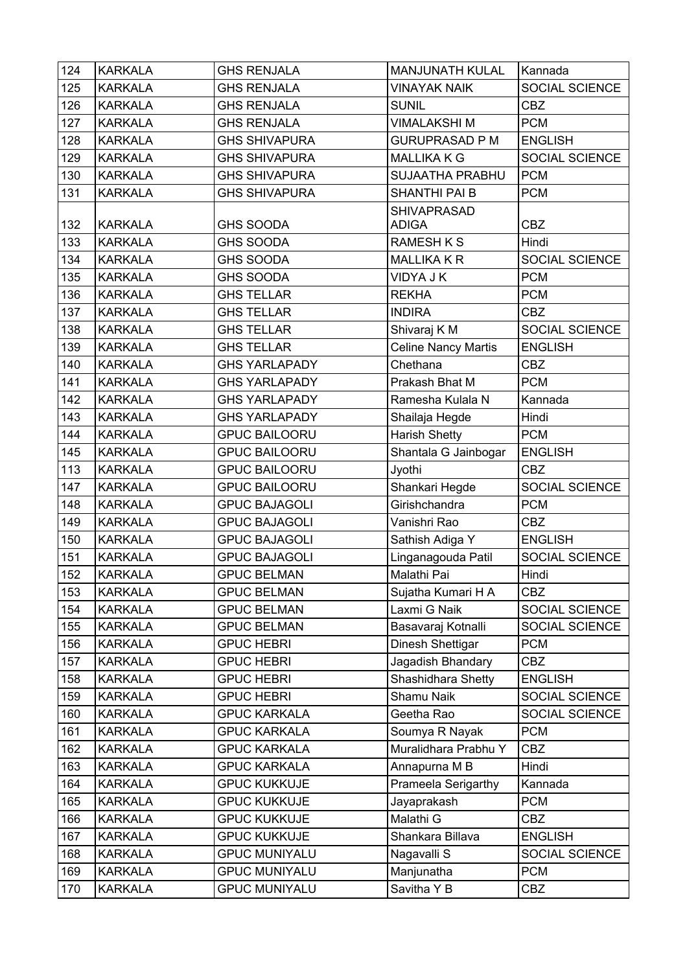| 124 | <b>KARKALA</b> | <b>GHS RENJALA</b>   | <b>MANJUNATH KULAL</b>     | Kannada               |
|-----|----------------|----------------------|----------------------------|-----------------------|
| 125 | <b>KARKALA</b> | <b>GHS RENJALA</b>   | <b>VINAYAK NAIK</b>        | SOCIAL SCIENCE        |
| 126 | <b>KARKALA</b> | <b>GHS RENJALA</b>   | <b>SUNIL</b>               | <b>CBZ</b>            |
| 127 | <b>KARKALA</b> | <b>GHS RENJALA</b>   | <b>VIMALAKSHI M</b>        | <b>PCM</b>            |
| 128 | <b>KARKALA</b> | <b>GHS SHIVAPURA</b> | <b>GURUPRASAD P M</b>      | <b>ENGLISH</b>        |
| 129 | <b>KARKALA</b> | <b>GHS SHIVAPURA</b> | <b>MALLIKA K G</b>         | SOCIAL SCIENCE        |
| 130 | <b>KARKALA</b> | <b>GHS SHIVAPURA</b> | <b>SUJAATHA PRABHU</b>     | <b>PCM</b>            |
| 131 | <b>KARKALA</b> | <b>GHS SHIVAPURA</b> | <b>SHANTHI PAI B</b>       | <b>PCM</b>            |
|     |                |                      | <b>SHIVAPRASAD</b>         |                       |
| 132 | <b>KARKALA</b> | <b>GHS SOODA</b>     | <b>ADIGA</b>               | <b>CBZ</b>            |
| 133 | <b>KARKALA</b> | <b>GHS SOODA</b>     | <b>RAMESH K S</b>          | Hindi                 |
| 134 | <b>KARKALA</b> | <b>GHS SOODA</b>     | <b>MALLIKA K R</b>         | SOCIAL SCIENCE        |
| 135 | <b>KARKALA</b> | <b>GHS SOODA</b>     | <b>VIDYA J K</b>           | <b>PCM</b>            |
| 136 | <b>KARKALA</b> | <b>GHS TELLAR</b>    | <b>REKHA</b>               | <b>PCM</b>            |
| 137 | <b>KARKALA</b> | <b>GHS TELLAR</b>    | <b>INDIRA</b>              | <b>CBZ</b>            |
| 138 | <b>KARKALA</b> | <b>GHS TELLAR</b>    | Shivaraj K M               | SOCIAL SCIENCE        |
| 139 | <b>KARKALA</b> | <b>GHS TELLAR</b>    | <b>Celine Nancy Martis</b> | <b>ENGLISH</b>        |
| 140 | <b>KARKALA</b> | <b>GHS YARLAPADY</b> | Chethana                   | <b>CBZ</b>            |
| 141 | <b>KARKALA</b> | <b>GHS YARLAPADY</b> | Prakash Bhat M             | <b>PCM</b>            |
| 142 | <b>KARKALA</b> | <b>GHS YARLAPADY</b> | Ramesha Kulala N           | Kannada               |
| 143 | <b>KARKALA</b> | <b>GHS YARLAPADY</b> | Shailaja Hegde             | Hindi                 |
| 144 | <b>KARKALA</b> | <b>GPUC BAILOORU</b> | <b>Harish Shetty</b>       | <b>PCM</b>            |
| 145 | <b>KARKALA</b> | <b>GPUC BAILOORU</b> | Shantala G Jainbogar       | <b>ENGLISH</b>        |
| 113 | <b>KARKALA</b> | <b>GPUC BAILOORU</b> | Jyothi                     | <b>CBZ</b>            |
| 147 | <b>KARKALA</b> | <b>GPUC BAILOORU</b> | Shankari Hegde             | SOCIAL SCIENCE        |
| 148 | <b>KARKALA</b> | <b>GPUC BAJAGOLI</b> | Girishchandra              | <b>PCM</b>            |
| 149 | <b>KARKALA</b> | <b>GPUC BAJAGOLI</b> | Vanishri Rao               | <b>CBZ</b>            |
| 150 | <b>KARKALA</b> | <b>GPUC BAJAGOLI</b> | Sathish Adiga Y            | <b>ENGLISH</b>        |
| 151 | <b>KARKALA</b> | <b>GPUC BAJAGOLI</b> | Linganagouda Patil         | <b>SOCIAL SCIENCE</b> |
| 152 | <b>KARKALA</b> | <b>GPUC BELMAN</b>   | Malathi Pai                | Hindi                 |
| 153 | <b>KARKALA</b> | <b>GPUC BELMAN</b>   | Sujatha Kumari H A         | <b>CBZ</b>            |
| 154 | <b>KARKALA</b> | <b>GPUC BELMAN</b>   | Laxmi G Naik               | SOCIAL SCIENCE        |
| 155 | <b>KARKALA</b> | <b>GPUC BELMAN</b>   | Basavaraj Kotnalli         | SOCIAL SCIENCE        |
| 156 | <b>KARKALA</b> | <b>GPUC HEBRI</b>    | Dinesh Shettigar           | <b>PCM</b>            |
| 157 | <b>KARKALA</b> | <b>GPUC HEBRI</b>    | Jagadish Bhandary          | <b>CBZ</b>            |
| 158 | <b>KARKALA</b> | <b>GPUC HEBRI</b>    | Shashidhara Shetty         | <b>ENGLISH</b>        |
| 159 | <b>KARKALA</b> | <b>GPUC HEBRI</b>    | Shamu Naik                 | SOCIAL SCIENCE        |
| 160 | <b>KARKALA</b> | <b>GPUC KARKALA</b>  | Geetha Rao                 | SOCIAL SCIENCE        |
| 161 | <b>KARKALA</b> | <b>GPUC KARKALA</b>  | Soumya R Nayak             | <b>PCM</b>            |
| 162 | <b>KARKALA</b> | <b>GPUC KARKALA</b>  | Muralidhara Prabhu Y       | CBZ                   |
| 163 | <b>KARKALA</b> | <b>GPUC KARKALA</b>  | Annapurna M B              | Hindi                 |
| 164 | <b>KARKALA</b> | <b>GPUC KUKKUJE</b>  | Prameela Serigarthy        | Kannada               |
| 165 | <b>KARKALA</b> | <b>GPUC KUKKUJE</b>  | Jayaprakash                | <b>PCM</b>            |
| 166 | <b>KARKALA</b> | <b>GPUC KUKKUJE</b>  | Malathi G                  | <b>CBZ</b>            |
| 167 | <b>KARKALA</b> | <b>GPUC KUKKUJE</b>  | Shankara Billava           | <b>ENGLISH</b>        |
| 168 | <b>KARKALA</b> | <b>GPUC MUNIYALU</b> | Nagavalli S                | SOCIAL SCIENCE        |
| 169 | <b>KARKALA</b> | <b>GPUC MUNIYALU</b> | Manjunatha                 | <b>PCM</b>            |
| 170 | <b>KARKALA</b> | <b>GPUC MUNIYALU</b> | Savitha Y B                | <b>CBZ</b>            |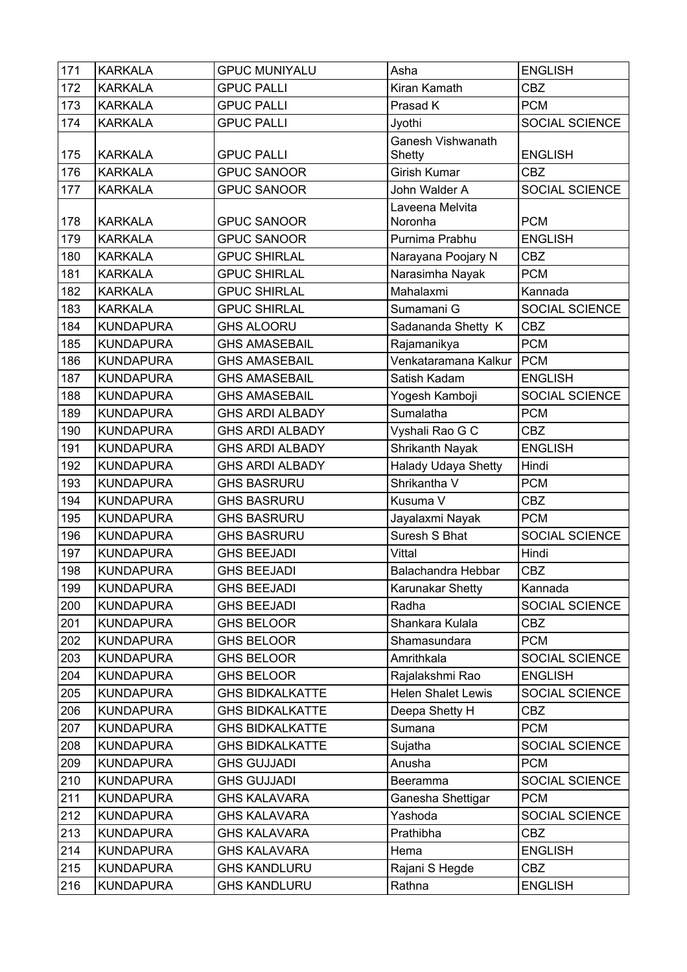| 171 | <b>KARKALA</b>   | <b>GPUC MUNIYALU</b>                     | Asha                       | <b>ENGLISH</b>        |
|-----|------------------|------------------------------------------|----------------------------|-----------------------|
| 172 | <b>KARKALA</b>   | <b>GPUC PALLI</b>                        | Kiran Kamath               | <b>CBZ</b>            |
| 173 | <b>KARKALA</b>   | <b>GPUC PALLI</b>                        | Prasad K                   | <b>PCM</b>            |
| 174 | <b>KARKALA</b>   | <b>GPUC PALLI</b>                        | Jyothi                     | SOCIAL SCIENCE        |
|     |                  |                                          | Ganesh Vishwanath          |                       |
| 175 | <b>KARKALA</b>   | <b>GPUC PALLI</b>                        | Shetty                     | <b>ENGLISH</b>        |
| 176 | <b>KARKALA</b>   | <b>GPUC SANOOR</b>                       | Girish Kumar               | <b>CBZ</b>            |
| 177 | <b>KARKALA</b>   | <b>GPUC SANOOR</b>                       | John Walder A              | SOCIAL SCIENCE        |
| 178 | <b>KARKALA</b>   | <b>GPUC SANOOR</b>                       | Laveena Melvita<br>Noronha | <b>PCM</b>            |
| 179 | <b>KARKALA</b>   | <b>GPUC SANOOR</b>                       | Purnima Prabhu             | <b>ENGLISH</b>        |
| 180 | <b>KARKALA</b>   | <b>GPUC SHIRLAL</b>                      | Narayana Poojary N         | <b>CBZ</b>            |
| 181 | <b>KARKALA</b>   | <b>GPUC SHIRLAL</b>                      | Narasimha Nayak            | <b>PCM</b>            |
| 182 | <b>KARKALA</b>   | <b>GPUC SHIRLAL</b>                      | Mahalaxmi                  | Kannada               |
| 183 | <b>KARKALA</b>   | <b>GPUC SHIRLAL</b>                      | Sumamani G                 | SOCIAL SCIENCE        |
| 184 | <b>KUNDAPURA</b> | <b>GHS ALOORU</b>                        | Sadananda Shetty K         | <b>CBZ</b>            |
| 185 | <b>KUNDAPURA</b> | <b>GHS AMASEBAIL</b>                     | Rajamanikya                | <b>PCM</b>            |
| 186 | <b>KUNDAPURA</b> | <b>GHS AMASEBAIL</b>                     | Venkataramana Kalkur       | <b>PCM</b>            |
| 187 | <b>KUNDAPURA</b> | <b>GHS AMASEBAIL</b>                     | Satish Kadam               | <b>ENGLISH</b>        |
| 188 | <b>KUNDAPURA</b> | <b>GHS AMASEBAIL</b>                     | Yogesh Kamboji             | SOCIAL SCIENCE        |
| 189 | <b>KUNDAPURA</b> | <b>GHS ARDI ALBADY</b>                   | Sumalatha                  | <b>PCM</b>            |
| 190 | <b>KUNDAPURA</b> | <b>GHS ARDI ALBADY</b>                   | Vyshali Rao G C            | <b>CBZ</b>            |
| 191 | <b>KUNDAPURA</b> | <b>GHS ARDI ALBADY</b>                   | Shrikanth Nayak            | <b>ENGLISH</b>        |
| 192 | <b>KUNDAPURA</b> | <b>GHS ARDI ALBADY</b>                   | <b>Halady Udaya Shetty</b> | Hindi                 |
| 193 | <b>KUNDAPURA</b> | <b>GHS BASRURU</b>                       | Shrikantha V               | <b>PCM</b>            |
| 194 | <b>KUNDAPURA</b> | <b>GHS BASRURU</b>                       | Kusuma V                   | <b>CBZ</b>            |
| 195 | <b>KUNDAPURA</b> | <b>GHS BASRURU</b>                       | Jayalaxmi Nayak            | <b>PCM</b>            |
| 196 | <b>KUNDAPURA</b> | <b>GHS BASRURU</b>                       | Suresh S Bhat              | <b>SOCIAL SCIENCE</b> |
| 197 | <b>KUNDAPURA</b> | <b>GHS BEEJADI</b>                       | Vittal                     | Hindi                 |
| 198 | <b>KUNDAPURA</b> | <b>GHS BEEJADI</b>                       | Balachandra Hebbar         | <b>CBZ</b>            |
|     |                  |                                          |                            |                       |
| 199 | <b>KUNDAPURA</b> | <b>GHS BEEJADI</b><br><b>GHS BEEJADI</b> | Karunakar Shetty           | Kannada               |
| 200 | <b>KUNDAPURA</b> |                                          | Radha                      | SOCIAL SCIENCE        |
| 201 | <b>KUNDAPURA</b> | <b>GHS BELOOR</b>                        | Shankara Kulala            | <b>CBZ</b>            |
| 202 | <b>KUNDAPURA</b> | <b>GHS BELOOR</b>                        | Shamasundara               | <b>PCM</b>            |
| 203 | <b>KUNDAPURA</b> | <b>GHS BELOOR</b>                        | Amrithkala                 | SOCIAL SCIENCE        |
| 204 | <b>KUNDAPURA</b> | <b>GHS BELOOR</b>                        | Rajalakshmi Rao            | <b>ENGLISH</b>        |
| 205 | <b>KUNDAPURA</b> | <b>GHS BIDKALKATTE</b>                   | <b>Helen Shalet Lewis</b>  | SOCIAL SCIENCE        |
| 206 | <b>KUNDAPURA</b> | <b>GHS BIDKALKATTE</b>                   | Deepa Shetty H             | <b>CBZ</b>            |
| 207 | <b>KUNDAPURA</b> | <b>GHS BIDKALKATTE</b>                   | Sumana                     | <b>PCM</b>            |
| 208 | <b>KUNDAPURA</b> | <b>GHS BIDKALKATTE</b>                   | Sujatha                    | SOCIAL SCIENCE        |
| 209 | <b>KUNDAPURA</b> | <b>GHS GUJJADI</b>                       | Anusha                     | <b>PCM</b>            |
| 210 | <b>KUNDAPURA</b> | <b>GHS GUJJADI</b>                       | Beeramma                   | SOCIAL SCIENCE        |
| 211 | <b>KUNDAPURA</b> | <b>GHS KALAVARA</b>                      | Ganesha Shettigar          | <b>PCM</b>            |
| 212 | <b>KUNDAPURA</b> | <b>GHS KALAVARA</b>                      | Yashoda                    | SOCIAL SCIENCE        |
| 213 | <b>KUNDAPURA</b> | <b>GHS KALAVARA</b>                      | Prathibha                  | <b>CBZ</b>            |
| 214 | <b>KUNDAPURA</b> | <b>GHS KALAVARA</b>                      | Hema                       | <b>ENGLISH</b>        |
| 215 | <b>KUNDAPURA</b> | <b>GHS KANDLURU</b>                      | Rajani S Hegde             | <b>CBZ</b>            |
| 216 | <b>KUNDAPURA</b> | <b>GHS KANDLURU</b>                      | Rathna                     | <b>ENGLISH</b>        |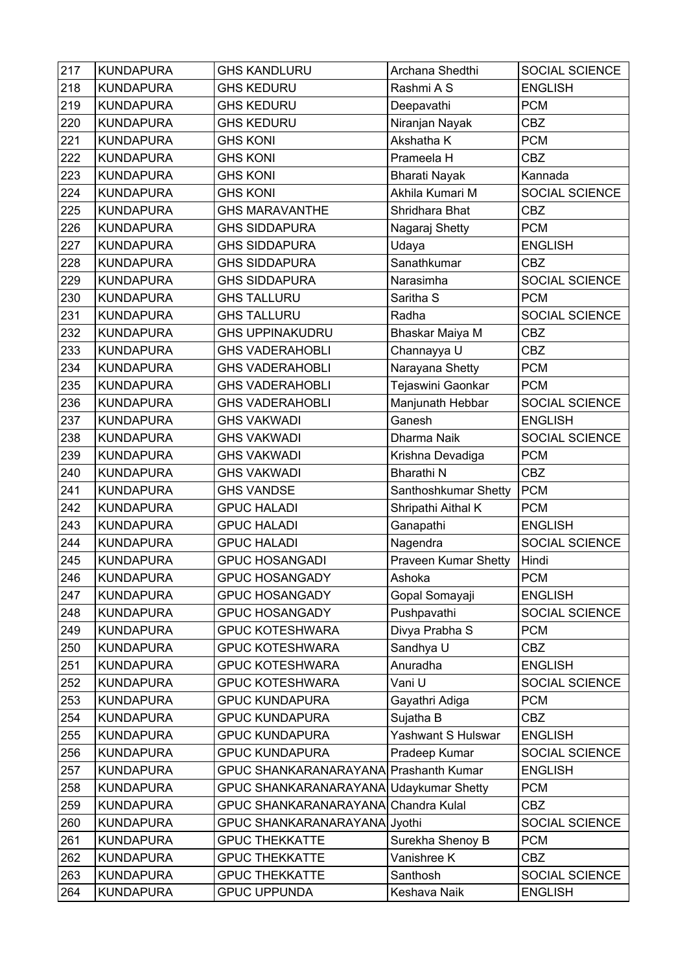| 217 | <b>KUNDAPURA</b> | <b>GHS KANDLURU</b>                    | Archana Shedthi             | SOCIAL SCIENCE        |
|-----|------------------|----------------------------------------|-----------------------------|-----------------------|
| 218 | <b>KUNDAPURA</b> | <b>GHS KEDURU</b>                      | Rashmi A S                  | <b>ENGLISH</b>        |
| 219 | <b>KUNDAPURA</b> | <b>GHS KEDURU</b>                      | Deepavathi                  | <b>PCM</b>            |
| 220 | <b>KUNDAPURA</b> | <b>GHS KEDURU</b>                      | Niranjan Nayak              | <b>CBZ</b>            |
| 221 | <b>KUNDAPURA</b> | <b>GHS KONI</b>                        | Akshatha K                  | <b>PCM</b>            |
| 222 | <b>KUNDAPURA</b> | <b>GHS KONI</b>                        | Prameela H                  | <b>CBZ</b>            |
| 223 | <b>KUNDAPURA</b> | <b>GHS KONI</b>                        | <b>Bharati Nayak</b>        | Kannada               |
| 224 | <b>KUNDAPURA</b> | <b>GHS KONI</b>                        | Akhila Kumari M             | SOCIAL SCIENCE        |
| 225 | <b>KUNDAPURA</b> | <b>GHS MARAVANTHE</b>                  | Shridhara Bhat              | <b>CBZ</b>            |
| 226 | <b>KUNDAPURA</b> | <b>GHS SIDDAPURA</b>                   | Nagaraj Shetty              | <b>PCM</b>            |
| 227 | <b>KUNDAPURA</b> | <b>GHS SIDDAPURA</b>                   | Udaya                       | <b>ENGLISH</b>        |
| 228 | <b>KUNDAPURA</b> | <b>GHS SIDDAPURA</b>                   | Sanathkumar                 | <b>CBZ</b>            |
| 229 | <b>KUNDAPURA</b> | <b>GHS SIDDAPURA</b>                   | Narasimha                   | <b>SOCIAL SCIENCE</b> |
| 230 | <b>KUNDAPURA</b> | <b>GHS TALLURU</b>                     | Saritha <sub>S</sub>        | <b>PCM</b>            |
| 231 | <b>KUNDAPURA</b> | <b>GHS TALLURU</b>                     | Radha                       | SOCIAL SCIENCE        |
| 232 | <b>KUNDAPURA</b> | <b>GHS UPPINAKUDRU</b>                 | Bhaskar Maiya M             | <b>CBZ</b>            |
| 233 | <b>KUNDAPURA</b> | <b>GHS VADERAHOBLI</b>                 | Channayya U                 | <b>CBZ</b>            |
| 234 | <b>KUNDAPURA</b> | <b>GHS VADERAHOBLI</b>                 | Narayana Shetty             | <b>PCM</b>            |
| 235 | <b>KUNDAPURA</b> | <b>GHS VADERAHOBLI</b>                 | Tejaswini Gaonkar           | <b>PCM</b>            |
| 236 | <b>KUNDAPURA</b> | <b>GHS VADERAHOBLI</b>                 | Manjunath Hebbar            | <b>SOCIAL SCIENCE</b> |
| 237 | <b>KUNDAPURA</b> | <b>GHS VAKWADI</b>                     | Ganesh                      | <b>ENGLISH</b>        |
| 238 | <b>KUNDAPURA</b> | <b>GHS VAKWADI</b>                     | Dharma Naik                 | <b>SOCIAL SCIENCE</b> |
| 239 | <b>KUNDAPURA</b> | <b>GHS VAKWADI</b>                     | Krishna Devadiga            | <b>PCM</b>            |
| 240 | <b>KUNDAPURA</b> | <b>GHS VAKWADI</b>                     | <b>Bharathi N</b>           | <b>CBZ</b>            |
| 241 | <b>KUNDAPURA</b> | <b>GHS VANDSE</b>                      | Santhoshkumar Shetty        | <b>PCM</b>            |
| 242 | <b>KUNDAPURA</b> | <b>GPUC HALADI</b>                     | Shripathi Aithal K          | <b>PCM</b>            |
| 243 | <b>KUNDAPURA</b> | <b>GPUC HALADI</b>                     | Ganapathi                   | <b>ENGLISH</b>        |
| 244 | <b>KUNDAPURA</b> | <b>GPUC HALADI</b>                     | Nagendra                    | SOCIAL SCIENCE        |
| 245 | <b>KUNDAPURA</b> | <b>GPUC HOSANGADI</b>                  | <b>Praveen Kumar Shetty</b> | Hindi                 |
| 246 | <b>KUNDAPURA</b> | <b>GPUC HOSANGADY</b>                  | Ashoka                      | <b>PCM</b>            |
| 247 | <b>KUNDAPURA</b> | <b>GPUC HOSANGADY</b>                  | Gopal Somayaji              | <b>ENGLISH</b>        |
| 248 | <b>KUNDAPURA</b> | <b>GPUC HOSANGADY</b>                  | Pushpavathi                 | SOCIAL SCIENCE        |
| 249 | <b>KUNDAPURA</b> | <b>GPUC KOTESHWARA</b>                 | Divya Prabha S              | <b>PCM</b>            |
| 250 | <b>KUNDAPURA</b> | <b>GPUC KOTESHWARA</b>                 | Sandhya U                   | <b>CBZ</b>            |
| 251 | <b>KUNDAPURA</b> | <b>GPUC KOTESHWARA</b>                 | Anuradha                    | <b>ENGLISH</b>        |
| 252 | <b>KUNDAPURA</b> | <b>GPUC KOTESHWARA</b>                 | Vani U                      | SOCIAL SCIENCE        |
| 253 | <b>KUNDAPURA</b> | <b>GPUC KUNDAPURA</b>                  | Gayathri Adiga              | <b>PCM</b>            |
| 254 | <b>KUNDAPURA</b> | <b>GPUC KUNDAPURA</b>                  | Sujatha B                   | CBZ                   |
| 255 | <b>KUNDAPURA</b> | <b>GPUC KUNDAPURA</b>                  | Yashwant S Hulswar          | <b>ENGLISH</b>        |
| 256 | <b>KUNDAPURA</b> | <b>GPUC KUNDAPURA</b>                  | Pradeep Kumar               | SOCIAL SCIENCE        |
| 257 | <b>KUNDAPURA</b> | GPUC SHANKARANARAYANA Prashanth Kumar  |                             | <b>ENGLISH</b>        |
| 258 | <b>KUNDAPURA</b> | GPUC SHANKARANARAYANA Udaykumar Shetty |                             | <b>PCM</b>            |
| 259 | <b>KUNDAPURA</b> | GPUC SHANKARANARAYANA Chandra Kulal    |                             | <b>CBZ</b>            |
| 260 | <b>KUNDAPURA</b> | GPUC SHANKARANARAYANA Jyothi           |                             | SOCIAL SCIENCE        |
| 261 | <b>KUNDAPURA</b> | <b>GPUC THEKKATTE</b>                  | Surekha Shenoy B            | <b>PCM</b>            |
| 262 | <b>KUNDAPURA</b> | <b>GPUC THEKKATTE</b>                  | Vanishree K                 | <b>CBZ</b>            |
| 263 | <b>KUNDAPURA</b> | <b>GPUC THEKKATTE</b>                  | Santhosh                    | SOCIAL SCIENCE        |
| 264 | <b>KUNDAPURA</b> | <b>GPUC UPPUNDA</b>                    | Keshava Naik                | <b>ENGLISH</b>        |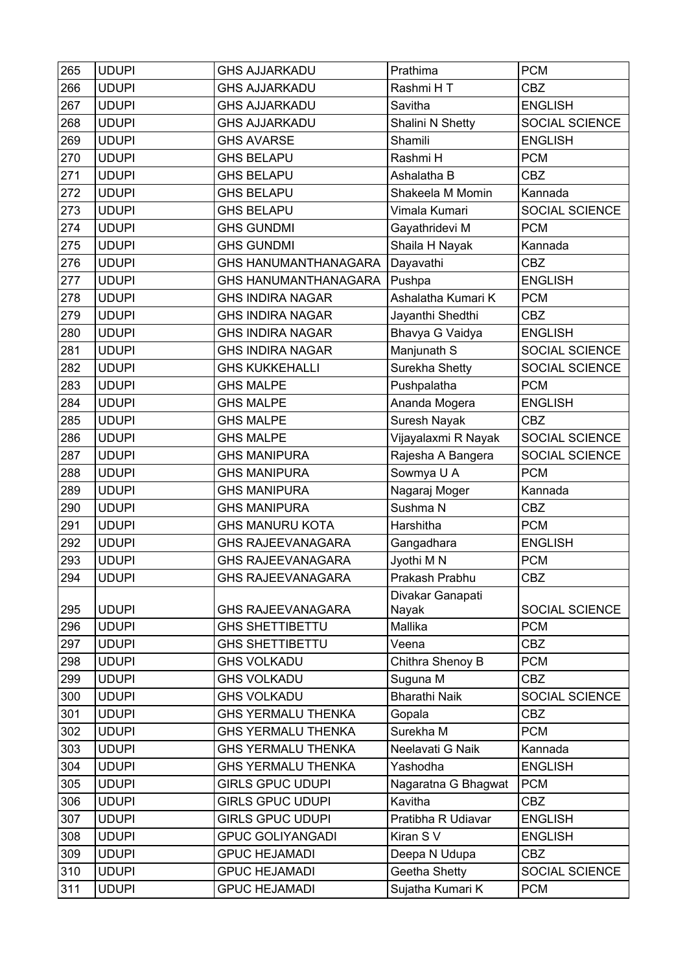| 265 | <b>UDUPI</b> | <b>GHS AJJARKADU</b>        | Prathima             | <b>PCM</b>     |
|-----|--------------|-----------------------------|----------------------|----------------|
| 266 | <b>UDUPI</b> | <b>GHS AJJARKADU</b>        | Rashmi HT            | <b>CBZ</b>     |
| 267 | <b>UDUPI</b> | <b>GHS AJJARKADU</b>        | Savitha              | <b>ENGLISH</b> |
| 268 | <b>UDUPI</b> | <b>GHS AJJARKADU</b>        | Shalini N Shetty     | SOCIAL SCIENCE |
| 269 | <b>UDUPI</b> | <b>GHS AVARSE</b>           | Shamili              | <b>ENGLISH</b> |
| 270 | <b>UDUPI</b> | <b>GHS BELAPU</b>           | Rashmi H             | <b>PCM</b>     |
| 271 | <b>UDUPI</b> | <b>GHS BELAPU</b>           | Ashalatha B          | <b>CBZ</b>     |
| 272 | <b>UDUPI</b> | <b>GHS BELAPU</b>           | Shakeela M Momin     | Kannada        |
| 273 | <b>UDUPI</b> | <b>GHS BELAPU</b>           | Vimala Kumari        | SOCIAL SCIENCE |
| 274 | <b>UDUPI</b> | <b>GHS GUNDMI</b>           | Gayathridevi M       | <b>PCM</b>     |
| 275 | <b>UDUPI</b> | <b>GHS GUNDMI</b>           | Shaila H Nayak       | Kannada        |
| 276 | <b>UDUPI</b> | <b>GHS HANUMANTHANAGARA</b> | Dayavathi            | <b>CBZ</b>     |
| 277 | <b>UDUPI</b> | <b>GHS HANUMANTHANAGARA</b> | Pushpa               | <b>ENGLISH</b> |
| 278 | <b>UDUPI</b> | <b>GHS INDIRA NAGAR</b>     | Ashalatha Kumari K   | <b>PCM</b>     |
| 279 | <b>UDUPI</b> | <b>GHS INDIRA NAGAR</b>     | Jayanthi Shedthi     | <b>CBZ</b>     |
| 280 | <b>UDUPI</b> | <b>GHS INDIRA NAGAR</b>     | Bhavya G Vaidya      | <b>ENGLISH</b> |
| 281 | <b>UDUPI</b> | <b>GHS INDIRA NAGAR</b>     | Manjunath S          | SOCIAL SCIENCE |
| 282 | <b>UDUPI</b> | <b>GHS KUKKEHALLI</b>       | Surekha Shetty       | SOCIAL SCIENCE |
| 283 | <b>UDUPI</b> | <b>GHS MALPE</b>            | Pushpalatha          | <b>PCM</b>     |
| 284 | <b>UDUPI</b> | <b>GHS MALPE</b>            | Ananda Mogera        | <b>ENGLISH</b> |
| 285 | <b>UDUPI</b> | <b>GHS MALPE</b>            | Suresh Nayak         | <b>CBZ</b>     |
| 286 | <b>UDUPI</b> | <b>GHS MALPE</b>            | Vijayalaxmi R Nayak  | SOCIAL SCIENCE |
| 287 | <b>UDUPI</b> | <b>GHS MANIPURA</b>         | Rajesha A Bangera    | SOCIAL SCIENCE |
| 288 | <b>UDUPI</b> | <b>GHS MANIPURA</b>         | Sowmya U A           | <b>PCM</b>     |
| 289 | <b>UDUPI</b> | <b>GHS MANIPURA</b>         | Nagaraj Moger        | Kannada        |
| 290 | <b>UDUPI</b> | <b>GHS MANIPURA</b>         | Sushma N             | <b>CBZ</b>     |
| 291 | <b>UDUPI</b> | <b>GHS MANURU KOTA</b>      | Harshitha            | <b>PCM</b>     |
| 292 | <b>UDUPI</b> | <b>GHS RAJEEVANAGARA</b>    | Gangadhara           | <b>ENGLISH</b> |
| 293 | <b>UDUPI</b> | <b>GHS RAJEEVANAGARA</b>    | Jyothi M N           | <b>PCM</b>     |
| 294 | <b>UDUPI</b> | <b>GHS RAJEEVANAGARA</b>    | Prakash Prabhu       | CBZ            |
|     |              |                             | Divakar Ganapati     |                |
| 295 | <b>UDUPI</b> | <b>GHS RAJEEVANAGARA</b>    | Nayak                | SOCIAL SCIENCE |
| 296 | <b>UDUPI</b> | <b>GHS SHETTIBETTU</b>      | Mallika              | <b>PCM</b>     |
| 297 | <b>UDUPI</b> | <b>GHS SHETTIBETTU</b>      | Veena                | <b>CBZ</b>     |
| 298 | <b>UDUPI</b> | <b>GHS VOLKADU</b>          | Chithra Shenoy B     | <b>PCM</b>     |
| 299 | <b>UDUPI</b> | <b>GHS VOLKADU</b>          | Suguna M             | <b>CBZ</b>     |
| 300 | <b>UDUPI</b> | <b>GHS VOLKADU</b>          | <b>Bharathi Naik</b> | SOCIAL SCIENCE |
| 301 | <b>UDUPI</b> | <b>GHS YERMALU THENKA</b>   | Gopala               | <b>CBZ</b>     |
| 302 | <b>UDUPI</b> | <b>GHS YERMALU THENKA</b>   | Surekha M            | <b>PCM</b>     |
| 303 | <b>UDUPI</b> | <b>GHS YERMALU THENKA</b>   | Neelavati G Naik     | Kannada        |
| 304 | <b>UDUPI</b> | <b>GHS YERMALU THENKA</b>   | Yashodha             | <b>ENGLISH</b> |
| 305 | <b>UDUPI</b> | <b>GIRLS GPUC UDUPI</b>     | Nagaratna G Bhagwat  | <b>PCM</b>     |
| 306 | <b>UDUPI</b> | <b>GIRLS GPUC UDUPI</b>     | Kavitha              | <b>CBZ</b>     |
| 307 | <b>UDUPI</b> | <b>GIRLS GPUC UDUPI</b>     | Pratibha R Udiavar   | <b>ENGLISH</b> |
| 308 | <b>UDUPI</b> | <b>GPUC GOLIYANGADI</b>     | Kiran S V            | <b>ENGLISH</b> |
| 309 | <b>UDUPI</b> | <b>GPUC HEJAMADI</b>        | Deepa N Udupa        | <b>CBZ</b>     |
| 310 | <b>UDUPI</b> | <b>GPUC HEJAMADI</b>        | Geetha Shetty        | SOCIAL SCIENCE |
| 311 | <b>UDUPI</b> | <b>GPUC HEJAMADI</b>        | Sujatha Kumari K     | <b>PCM</b>     |